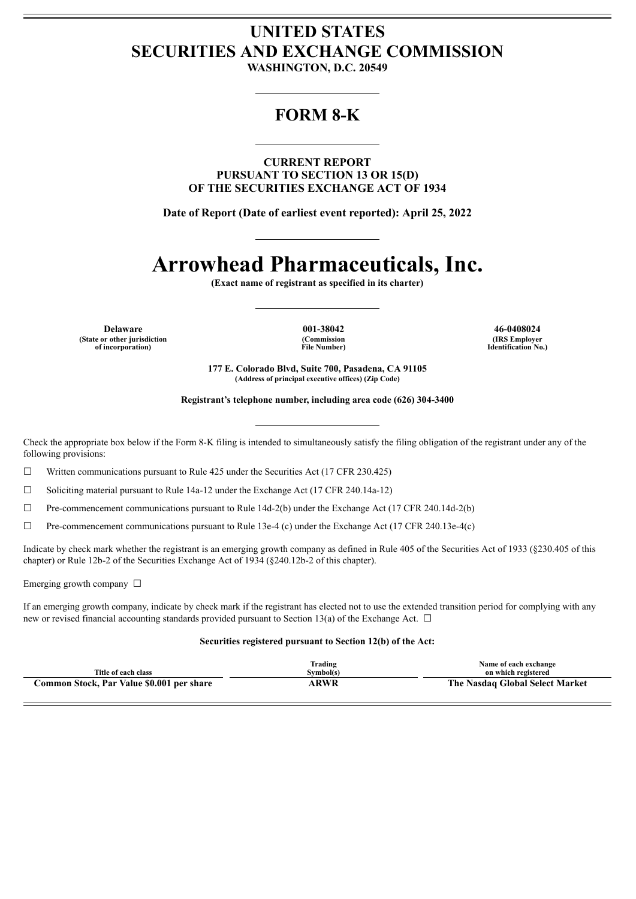# **UNITED STATES SECURITIES AND EXCHANGE COMMISSION**

**WASHINGTON, D.C. 20549**

# **FORM 8-K**

**CURRENT REPORT PURSUANT TO SECTION 13 OR 15(D) OF THE SECURITIES EXCHANGE ACT OF 1934**

**Date of Report (Date of earliest event reported): April 25, 2022**

# **Arrowhead Pharmaceuticals, Inc.**

**(Exact name of registrant as specified in its charter)**

**Delaware 001-38042 46-0408024 (State or other jurisdiction of incorporation)**

**(Commission File Number)**

**(IRS Employer Identification No.)**

**177 E. Colorado Blvd, Suite 700, Pasadena, CA 91105 (Address of principal executive offices) (Zip Code)**

**Registrant's telephone number, including area code (626) 304-3400**

Check the appropriate box below if the Form 8-K filing is intended to simultaneously satisfy the filing obligation of the registrant under any of the following provisions:

☐ Written communications pursuant to Rule 425 under the Securities Act (17 CFR 230.425)

☐ Soliciting material pursuant to Rule 14a-12 under the Exchange Act (17 CFR 240.14a-12)

 $\Box$  Pre-commencement communications pursuant to Rule 14d-2(b) under the Exchange Act (17 CFR 240.14d-2(b)

 $\Box$  Pre-commencement communications pursuant to Rule 13e-4 (c) under the Exchange Act (17 CFR 240.13e-4(c)

Indicate by check mark whether the registrant is an emerging growth company as defined in Rule 405 of the Securities Act of 1933 (§230.405 of this chapter) or Rule 12b-2 of the Securities Exchange Act of 1934 (§240.12b-2 of this chapter).

Emerging growth company  $\Box$ 

If an emerging growth company, indicate by check mark if the registrant has elected not to use the extended transition period for complying with any new or revised financial accounting standards provided pursuant to Section 13(a) of the Exchange Act.  $\Box$ 

### **Securities registered pursuant to Section 12(b) of the Act:**

| Title of each class                       | Trading<br>Svmbol(s) | Name of each exchange<br>on which registered |
|-------------------------------------------|----------------------|----------------------------------------------|
| Common Stock, Par Value \$0.001 per share | ARWR                 | The Nasdaq Global Select Market              |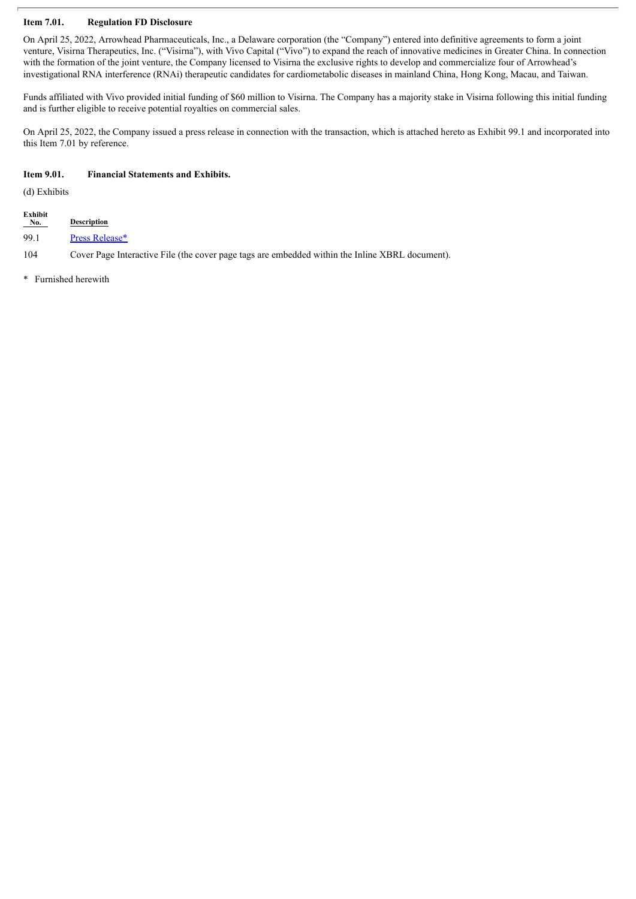#### **Item 7.01. Regulation FD Disclosure**

On April 25, 2022, Arrowhead Pharmaceuticals, Inc., a Delaware corporation (the "Company") entered into definitive agreements to form a joint venture, Visirna Therapeutics, Inc. ("Visirna"), with Vivo Capital ("Vivo") to expand the reach of innovative medicines in Greater China. In connection with the formation of the joint venture, the Company licensed to Visirna the exclusive rights to develop and commercialize four of Arrowhead's investigational RNA interference (RNAi) therapeutic candidates for cardiometabolic diseases in mainland China, Hong Kong, Macau, and Taiwan.

Funds affiliated with Vivo provided initial funding of \$60 million to Visirna. The Company has a majority stake in Visirna following this initial funding and is further eligible to receive potential royalties on commercial sales.

On April 25, 2022, the Company issued a press release in connection with the transaction, which is attached hereto as Exhibit 99.1 and incorporated into this Item 7.01 by reference.

#### **Item 9.01. Financial Statements and Exhibits.**

(d) Exhibits

| Exhibit<br>No. | <b>Description</b> |
|----------------|--------------------|
| 99.1           | Press Release*     |

104 Cover Page Interactive File (the cover page tags are embedded within the Inline XBRL document).

\* Furnished herewith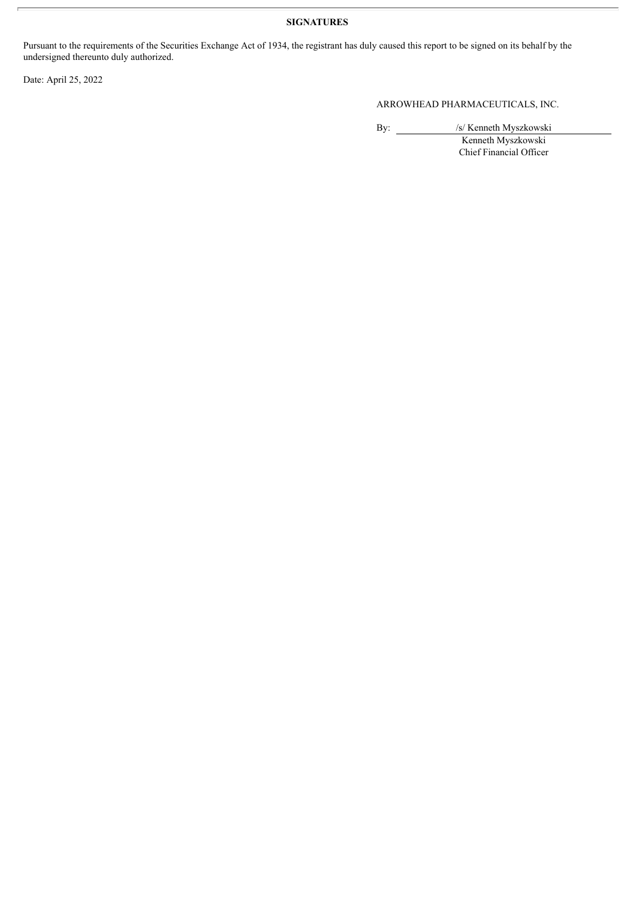## **SIGNATURES**

Pursuant to the requirements of the Securities Exchange Act of 1934, the registrant has duly caused this report to be signed on its behalf by the undersigned thereunto duly authorized.

Date: April 25, 2022

### ARROWHEAD PHARMACEUTICALS, INC.

By: /s/ Kenneth Myszkowski

Kenneth Myszkowski Chief Financial Officer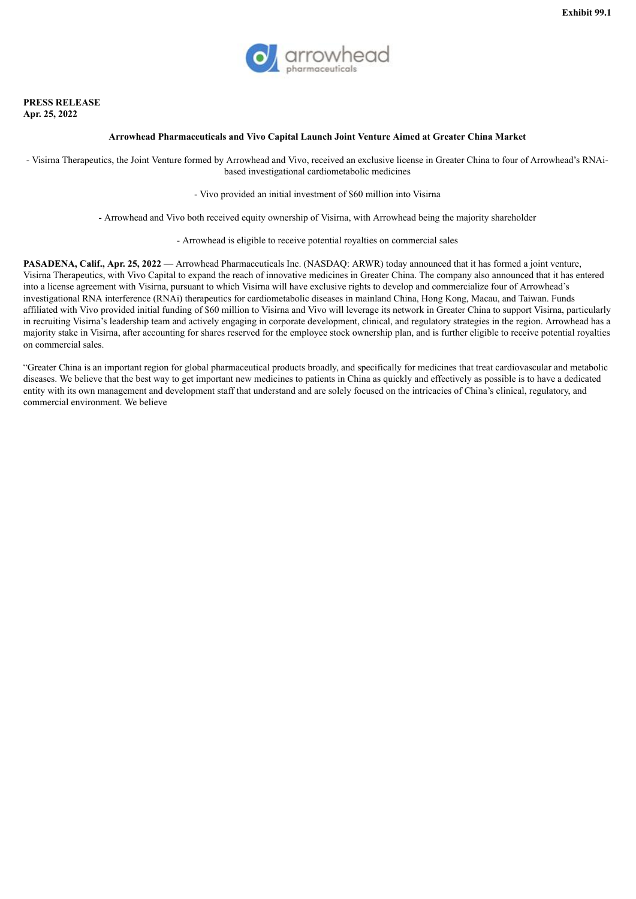

#### **Arrowhead Pharmaceuticals and Vivo Capital Launch Joint Venture Aimed at Greater China Market**

<span id="page-3-0"></span>- Visirna Therapeutics, the Joint Venture formed by Arrowhead and Vivo, received an exclusive license in Greater China to four of Arrowhead's RNAibased investigational cardiometabolic medicines

- Vivo provided an initial investment of \$60 million into Visirna

- Arrowhead and Vivo both received equity ownership of Visirna, with Arrowhead being the majority shareholder

- Arrowhead is eligible to receive potential royalties on commercial sales

**PASADENA, Calif., Apr. 25, 2022** — Arrowhead Pharmaceuticals Inc. (NASDAQ: ARWR) today announced that it has formed a joint venture, Visirna Therapeutics, with Vivo Capital to expand the reach of innovative medicines in Greater China. The company also announced that it has entered into a license agreement with Visirna, pursuant to which Visirna will have exclusive rights to develop and commercialize four of Arrowhead's investigational RNA interference (RNAi) therapeutics for cardiometabolic diseases in mainland China, Hong Kong, Macau, and Taiwan. Funds affiliated with Vivo provided initial funding of \$60 million to Visirna and Vivo will leverage its network in Greater China to support Visirna, particularly in recruiting Visirna's leadership team and actively engaging in corporate development, clinical, and regulatory strategies in the region. Arrowhead has a majority stake in Visirna, after accounting for shares reserved for the employee stock ownership plan, and is further eligible to receive potential royalties on commercial sales.

"Greater China is an important region for global pharmaceutical products broadly, and specifically for medicines that treat cardiovascular and metabolic diseases. We believe that the best way to get important new medicines to patients in China as quickly and effectively as possible is to have a dedicated entity with its own management and development staff that understand and are solely focused on the intricacies of China's clinical, regulatory, and commercial environment. We believe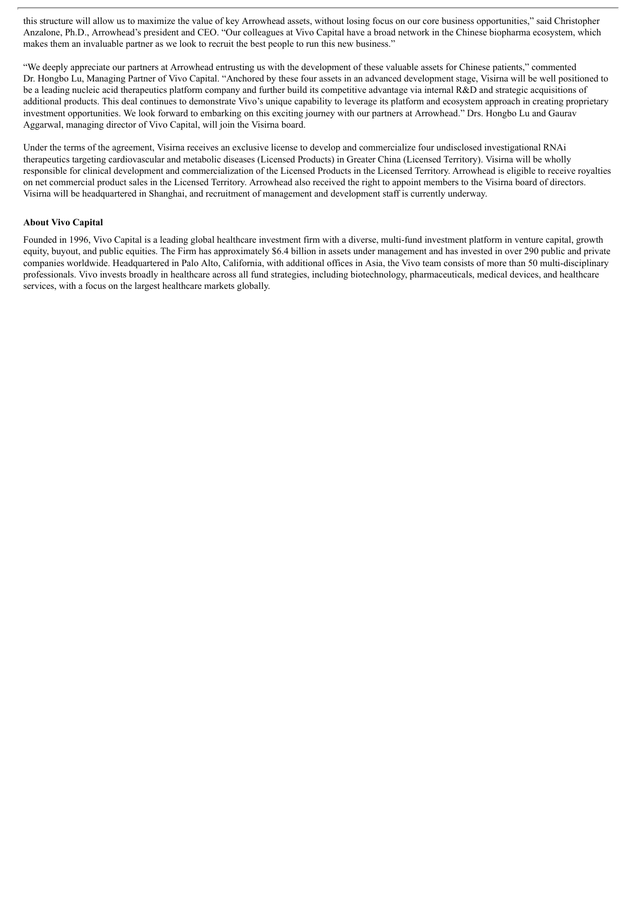this structure will allow us to maximize the value of key Arrowhead assets, without losing focus on our core business opportunities," said Christopher Anzalone, Ph.D., Arrowhead's president and CEO. "Our colleagues at Vivo Capital have a broad network in the Chinese biopharma ecosystem, which makes them an invaluable partner as we look to recruit the best people to run this new business."

"We deeply appreciate our partners at Arrowhead entrusting us with the development of these valuable assets for Chinese patients," commented Dr. Hongbo Lu, Managing Partner of Vivo Capital. "Anchored by these four assets in an advanced development stage, Visirna will be well positioned to be a leading nucleic acid therapeutics platform company and further build its competitive advantage via internal R&D and strategic acquisitions of additional products. This deal continues to demonstrate Vivo's unique capability to leverage its platform and ecosystem approach in creating proprietary investment opportunities. We look forward to embarking on this exciting journey with our partners at Arrowhead." Drs. Hongbo Lu and Gaurav Aggarwal, managing director of Vivo Capital, will join the Visirna board.

Under the terms of the agreement, Visirna receives an exclusive license to develop and commercialize four undisclosed investigational RNAi therapeutics targeting cardiovascular and metabolic diseases (Licensed Products) in Greater China (Licensed Territory). Visirna will be wholly responsible for clinical development and commercialization of the Licensed Products in the Licensed Territory. Arrowhead is eligible to receive royalties on net commercial product sales in the Licensed Territory. Arrowhead also received the right to appoint members to the Visirna board of directors. Visirna will be headquartered in Shanghai, and recruitment of management and development staff is currently underway.

#### **About Vivo Capital**

Founded in 1996, Vivo Capital is a leading global healthcare investment firm with a diverse, multi-fund investment platform in venture capital, growth equity, buyout, and public equities. The Firm has approximately \$6.4 billion in assets under management and has invested in over 290 public and private companies worldwide. Headquartered in Palo Alto, California, with additional offices in Asia, the Vivo team consists of more than 50 multi-disciplinary professionals. Vivo invests broadly in healthcare across all fund strategies, including biotechnology, pharmaceuticals, medical devices, and healthcare services, with a focus on the largest healthcare markets globally.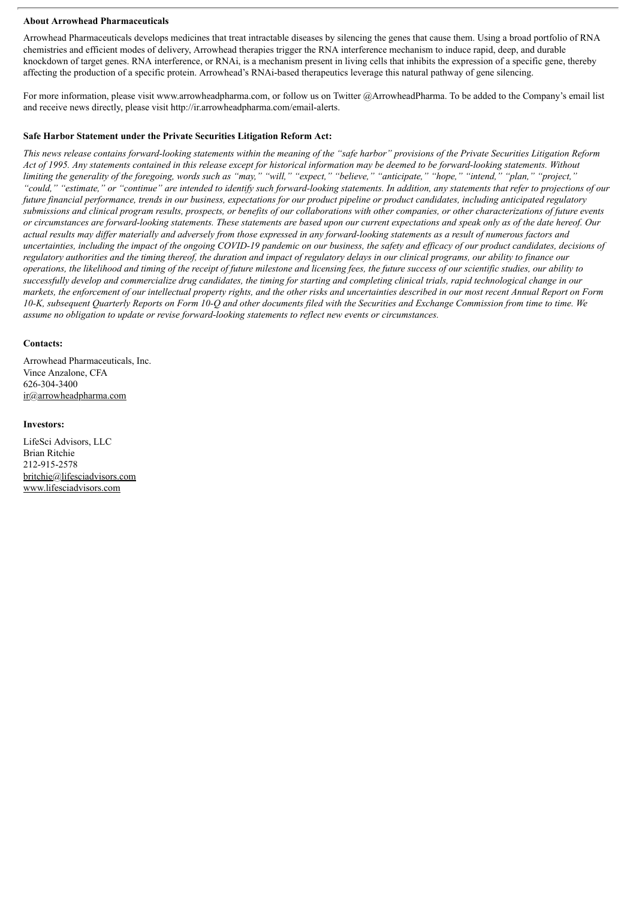#### **About Arrowhead Pharmaceuticals**

Arrowhead Pharmaceuticals develops medicines that treat intractable diseases by silencing the genes that cause them. Using a broad portfolio of RNA chemistries and efficient modes of delivery, Arrowhead therapies trigger the RNA interference mechanism to induce rapid, deep, and durable knockdown of target genes. RNA interference, or RNAi, is a mechanism present in living cells that inhibits the expression of a specific gene, thereby affecting the production of a specific protein. Arrowhead's RNAi-based therapeutics leverage this natural pathway of gene silencing.

For more information, please visit www.arrowheadpharma.com, or follow us on Twitter @ArrowheadPharma. To be added to the Company's email list and receive news directly, please visit http://ir.arrowheadpharma.com/email-alerts.

#### **Safe Harbor Statement under the Private Securities Litigation Reform Act:**

This news release contains forward-looking statements within the meaning of the "safe harbor" provisions of the Private Securities Litigation Reform Act of 1995. Any statements contained in this release except for historical information may be deemed to be forward-looking statements. Without limiting the generality of the foregoing, words such as "may," "will," "expect," "believe," "anticipate," "hope," "intend," "plan," "project," "could," "estimate," or "continue" are intended to identify such forward-looking statements. In addition, any statements that refer to projections of our future financial performance, trends in our business, expectations for our product pipeline or product candidates, including anticipated regulatory submissions and clinical program results, prospects, or benefits of our collaborations with other companies, or other characterizations of future events or circumstances are forward-looking statements. These statements are based upon our current expectations and speak only as of the date hereof. Our actual results may differ materially and adversely from those expressed in any forward-looking statements as a result of numerous factors and uncertainties, including the impact of the ongoing COVID-19 pandemic on our business, the safety and efficacy of our product candidates, decisions of regulatory authorities and the timing thereof, the duration and impact of regulatory delays in our clinical programs, our ability to finance our operations, the likelihood and timing of the receipt of future milestone and licensing fees, the future success of our scientific studies, our ability to successfully develop and commercialize drug candidates, the timing for starting and completing clinical trials, rapid technological change in our markets, the enforcement of our intellectual property rights, and the other risks and uncertainties described in our most recent Annual Report on Form 10-K, subsequent Ouarterly Reports on Form 10-O and other documents filed with the Securities and Exchange Commission from time to time. We *assume no obligation to update or revise forward-looking statements to reflect new events or circumstances.*

#### **Contacts:**

Arrowhead Pharmaceuticals, Inc. Vince Anzalone, CFA 626-304-3400 ir@arrowheadpharma.com

#### **Investors:**

LifeSci Advisors, LLC Brian Ritchie 212-915-2578 britchie@lifesciadvisors.com www.lifesciadvisors.com